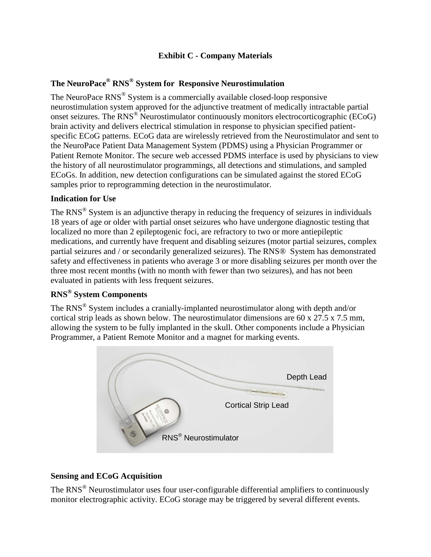# **Exhibit C - Company Materials**

# **The NeuroPace® RNS® System for Responsive Neurostimulation**

The NeuroPace RNS® System is a commercially available closed-loop responsive neurostimulation system approved for the adjunctive treatment of medically intractable partial onset seizures. The RNS® Neurostimulator continuously monitors electrocorticographic (ECoG) brain activity and delivers electrical stimulation in response to physician specified patientspecific ECoG patterns. ECoG data are wirelessly retrieved from the Neurostimulator and sent to the NeuroPace Patient Data Management System (PDMS) using a Physician Programmer or Patient Remote Monitor. The secure web accessed PDMS interface is used by physicians to view the history of all neurostimulator programmings, all detections and stimulations, and sampled ECoGs. In addition, new detection configurations can be simulated against the stored ECoG samples prior to reprogramming detection in the neurostimulator.

#### **Indication for Use**

The  $RNS^{\circledR}$  System is an adjunctive therapy in reducing the frequency of seizures in individuals 18 years of age or older with partial onset seizures who have undergone diagnostic testing that localized no more than 2 epileptogenic foci, are refractory to two or more antiepileptic medications, and currently have frequent and disabling seizures (motor partial seizures, complex partial seizures and / or secondarily generalized seizures). The RNS® System has demonstrated safety and effectiveness in patients who average 3 or more disabling seizures per month over the three most recent months (with no month with fewer than two seizures), and has not been evaluated in patients with less frequent seizures.

# **RNS® System Components**

The RNS® System includes a cranially-implanted neurostimulator along with depth and/or cortical strip leads as shown below. The neurostimulator dimensions are 60 x 27.5 x 7.5 mm, allowing the system to be fully implanted in the skull. Other components include a Physician Programmer, a Patient Remote Monitor and a magnet for marking events.



# **Sensing and ECoG Acquisition**

The RNS<sup>®</sup> Neurostimulator uses four user-configurable differential amplifiers to continuously monitor electrographic activity. ECoG storage may be triggered by several different events.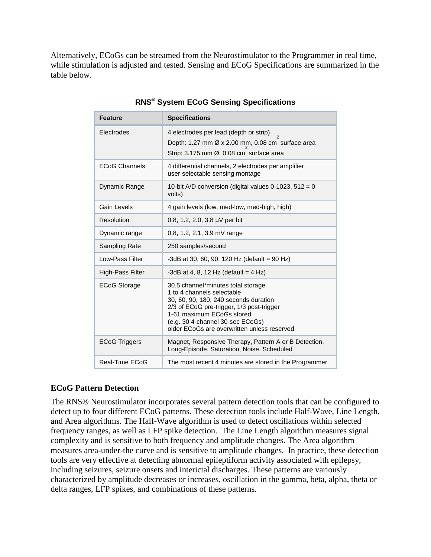Alternatively, ECoGs can be streamed from the Neurostimulator to the Programmer in real time, while stimulation is adjusted and tested. Sensing and ECoG Specifications are summarized in the table below.

| <b>Feature</b>       | <b>Specifications</b>                                                                                                                                                                                                                                                  |
|----------------------|------------------------------------------------------------------------------------------------------------------------------------------------------------------------------------------------------------------------------------------------------------------------|
| Electrodes           | 4 electrodes per lead (depth or strip)<br>Depth: 1.27 mm Ø x 2.00 mm, 0.08 cm surface area<br>Strip: 3.175 mm Ø, 0.08 cm surface area                                                                                                                                  |
| <b>ECoG Channels</b> | 4 differential channels, 2 electrodes per amplifier<br>user-selectable sensing montage                                                                                                                                                                                 |
| Dynamic Range        | 10-bit A/D conversion (digital values 0-1023, $512 = 0$<br>volts)                                                                                                                                                                                                      |
| Gain Levels          | 4 gain levels (low, med-low, med-high, high)                                                                                                                                                                                                                           |
| Resolution           | 0.8, 1.2, 2.0, 3.8 µV per bit                                                                                                                                                                                                                                          |
| Dynamic range        | 0.8, 1.2, 2.1, 3.9 mV range                                                                                                                                                                                                                                            |
| Sampling Rate        | 250 samples/second                                                                                                                                                                                                                                                     |
| Low-Pass Filter      | -3dB at 30, 60, 90, 120 Hz (default = 90 Hz)                                                                                                                                                                                                                           |
| High-Pass Filter     | -3dB at 4, 8, 12 Hz (default = 4 Hz)                                                                                                                                                                                                                                   |
| <b>ECoG Storage</b>  | 30.5 channel*minutes total storage<br>1 to 4 channels selectable<br>30, 60, 90, 180, 240 seconds duration<br>2/3 of ECoG pre-trigger, 1/3 post-trigger<br>1-61 maximum ECoGs stored<br>(e.g. 30 4-channel 30-sec ECoGs)<br>older ECoGs are overwritten unless reserved |
| <b>ECoG Triggers</b> | Magnet, Responsive Therapy, Pattern A or B Detection,<br>Long-Episode, Saturation, Noise, Scheduled                                                                                                                                                                    |
| Real-Time ECoG       | The most recent 4 minutes are stored in the Programmer                                                                                                                                                                                                                 |

**RNS® System ECoG Sensing Specifications**

# **ECoG Pattern Detection**

The RNS® Neurostimulator incorporates several pattern detection tools that can be configured to detect up to four different ECoG patterns. These detection tools include Half-Wave, Line Length, and Area algorithms. The Half-Wave algorithm is used to detect oscillations within selected frequency ranges, as well as LFP spike detection. The Line Length algorithm measures signal complexity and is sensitive to both frequency and amplitude changes. The Area algorithm measures area-under-the curve and is sensitive to amplitude changes. In practice, these detection tools are very effective at detecting abnormal epileptiform activity associated with epilepsy, including seizures, seizure onsets and interictal discharges. These patterns are variously characterized by amplitude decreases or increases, oscillation in the gamma, beta, alpha, theta or delta ranges, LFP spikes, and combinations of these patterns.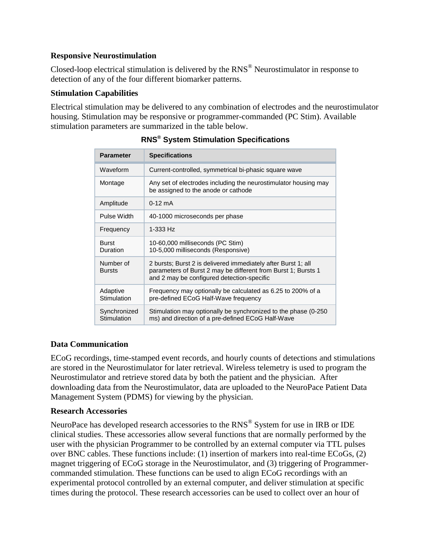#### **Responsive Neurostimulation**

Closed-loop electrical stimulation is delivered by the RNS® Neurostimulator in response to detection of any of the four different biomarker patterns.

#### **Stimulation Capabilities**

Electrical stimulation may be delivered to any combination of electrodes and the neurostimulator housing. Stimulation may be responsive or programmer-commanded (PC Stim). Available stimulation parameters are summarized in the table below.

| <b>Parameter</b>            | <b>Specifications</b>                                                                                                                                                        |
|-----------------------------|------------------------------------------------------------------------------------------------------------------------------------------------------------------------------|
| Waveform                    | Current-controlled, symmetrical bi-phasic square wave                                                                                                                        |
| Montage                     | Any set of electrodes including the neurostimulator housing may<br>be assigned to the anode or cathode                                                                       |
| Amplitude                   | $0-12$ mA                                                                                                                                                                    |
| Pulse Width                 | 40-1000 microseconds per phase                                                                                                                                               |
| Frequency                   | 1-333 Hz                                                                                                                                                                     |
| <b>Burst</b><br>Duration    | 10-60,000 milliseconds (PC Stim)<br>10-5,000 milliseconds (Responsive)                                                                                                       |
| Number of<br><b>Bursts</b>  | 2 bursts; Burst 2 is delivered immediately after Burst 1; all<br>parameters of Burst 2 may be different from Burst 1; Bursts 1<br>and 2 may be configured detection-specific |
| Adaptive<br>Stimulation     | Frequency may optionally be calculated as 6.25 to 200% of a<br>pre-defined ECoG Half-Wave frequency                                                                          |
| Synchronized<br>Stimulation | Stimulation may optionally be synchronized to the phase (0-250)<br>ms) and direction of a pre-defined ECoG Half-Wave                                                         |

# **RNS® System Stimulation Specifications**

# **Data Communication**

ECoG recordings, time-stamped event records, and hourly counts of detections and stimulations are stored in the Neurostimulator for later retrieval. Wireless telemetry is used to program the Neurostimulator and retrieve stored data by both the patient and the physician. After downloading data from the Neurostimulator, data are uploaded to the NeuroPace Patient Data Management System (PDMS) for viewing by the physician.

#### **Research Accessories**

NeuroPace has developed research accessories to the RNS<sup>®</sup> System for use in IRB or IDE clinical studies. These accessories allow several functions that are normally performed by the user with the physician Programmer to be controlled by an external computer via TTL pulses over BNC cables. These functions include: (1) insertion of markers into real-time ECoGs, (2) magnet triggering of ECoG storage in the Neurostimulator, and (3) triggering of Programmercommanded stimulation. These functions can be used to align ECoG recordings with an experimental protocol controlled by an external computer, and deliver stimulation at specific times during the protocol. These research accessories can be used to collect over an hour of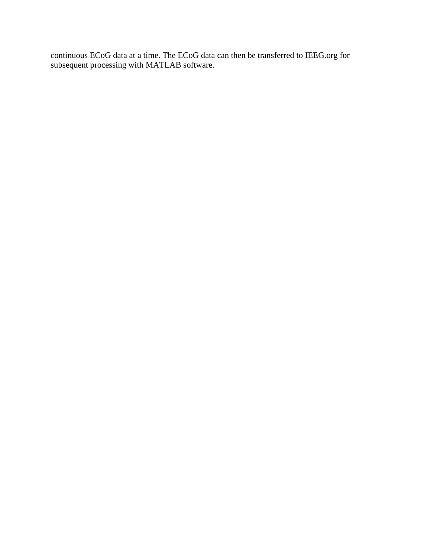continuous ECoG data at a time. The ECoG data can then be transferred to IEEG.org for subsequent processing with MATLAB software.